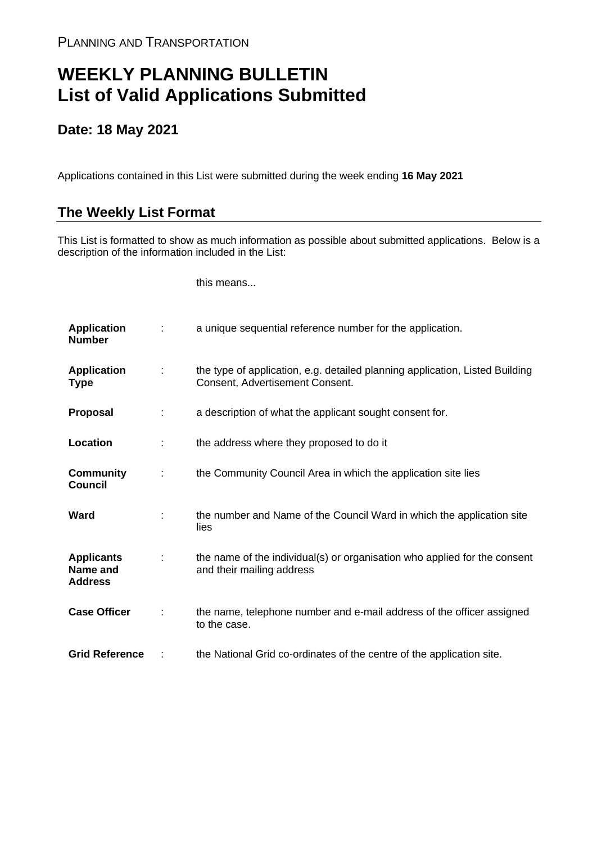## **WEEKLY PLANNING BULLETIN List of Valid Applications Submitted**

## **Date: 18 May 2021**

Applications contained in this List were submitted during the week ending **16 May 2021**

## **The Weekly List Format**

This List is formatted to show as much information as possible about submitted applications. Below is a description of the information included in the List:

this means...

| <b>Application</b><br><b>Number</b>             |   | a unique sequential reference number for the application.                                                       |
|-------------------------------------------------|---|-----------------------------------------------------------------------------------------------------------------|
| <b>Application</b><br><b>Type</b>               | ÷ | the type of application, e.g. detailed planning application, Listed Building<br>Consent, Advertisement Consent. |
| <b>Proposal</b>                                 | ÷ | a description of what the applicant sought consent for.                                                         |
| Location                                        | ÷ | the address where they proposed to do it                                                                        |
| <b>Community</b><br><b>Council</b>              | ÷ | the Community Council Area in which the application site lies                                                   |
| Ward                                            |   | the number and Name of the Council Ward in which the application site<br>lies                                   |
| <b>Applicants</b><br>Name and<br><b>Address</b> |   | the name of the individual(s) or organisation who applied for the consent<br>and their mailing address          |
| <b>Case Officer</b>                             | ÷ | the name, telephone number and e-mail address of the officer assigned<br>to the case.                           |
| <b>Grid Reference</b>                           |   | the National Grid co-ordinates of the centre of the application site.                                           |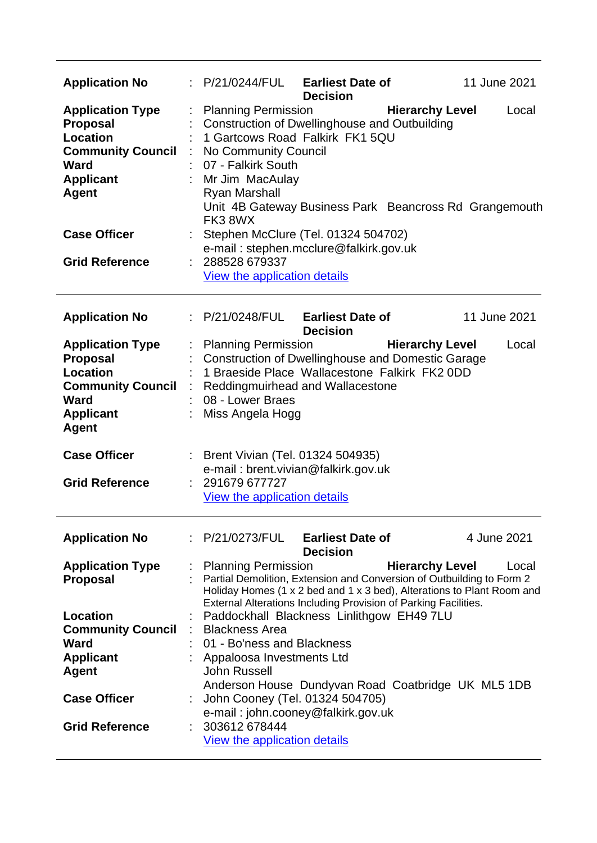| <b>Application No</b>                                                                                                                 |                                                                                                                               | $\therefore$ P/21/0244/FUL Earliest Date of<br><b>Decision</b>                                                                                                                                                     |                        | 11 June 2021 |
|---------------------------------------------------------------------------------------------------------------------------------------|-------------------------------------------------------------------------------------------------------------------------------|--------------------------------------------------------------------------------------------------------------------------------------------------------------------------------------------------------------------|------------------------|--------------|
| <b>Application Type</b><br><b>Proposal</b><br>Location<br><b>Community Council</b><br>Ward<br><b>Applicant</b><br><b>Agent</b>        | <b>Planning Permission</b><br>No Community Council<br>07 - Falkirk South<br>Mr Jim MacAulay<br><b>Ryan Marshall</b><br>FK38WX | Construction of Dwellinghouse and Outbuilding<br>1 Gartcows Road Falkirk FK1 5QU<br>Unit 4B Gateway Business Park Beancross Rd Grangemouth                                                                         | <b>Hierarchy Level</b> | Local        |
| <b>Case Officer</b>                                                                                                                   |                                                                                                                               | Stephen McClure (Tel. 01324 504702)<br>e-mail: stephen.mcclure@falkirk.gov.uk                                                                                                                                      |                        |              |
| <b>Grid Reference</b>                                                                                                                 | : 288528679337<br>View the application details                                                                                |                                                                                                                                                                                                                    |                        |              |
| <b>Application No</b>                                                                                                                 |                                                                                                                               | $\therefore$ P/21/0248/FUL Earliest Date of<br><b>Decision</b>                                                                                                                                                     |                        | 11 June 2021 |
| <b>Application Type</b><br><b>Proposal</b><br><b>Location</b><br><b>Community Council</b><br>Ward<br><b>Applicant</b><br><b>Agent</b> | <b>Planning Permission</b><br>08 - Lower Braes<br>Miss Angela Hogg                                                            | <b>Construction of Dwellinghouse and Domestic Garage</b><br>1 Braeside Place Wallacestone Falkirk FK2 0DD<br>Reddingmuirhead and Wallacestone                                                                      | <b>Hierarchy Level</b> | Local        |
| <b>Case Officer</b><br><b>Grid Reference</b>                                                                                          | 291679 677727                                                                                                                 | Brent Vivian (Tel. 01324 504935)<br>e-mail: brent.vivian@falkirk.gov.uk                                                                                                                                            |                        |              |
|                                                                                                                                       | View the application details                                                                                                  |                                                                                                                                                                                                                    |                        |              |
| <b>Application No</b>                                                                                                                 |                                                                                                                               | $P/21/0273/FUL$ Earliest Date of<br><b>Decision</b>                                                                                                                                                                |                        | 4 June 2021  |
| <b>Application Type</b><br><b>Proposal</b>                                                                                            | <b>Planning Permission</b>                                                                                                    | Partial Demolition, Extension and Conversion of Outbuilding to Form 2<br>Holiday Homes (1 x 2 bed and 1 x 3 bed), Alterations to Plant Room and<br>External Alterations Including Provision of Parking Facilities. | <b>Hierarchy Level</b> | Local        |
| Location<br><b>Community Council</b>                                                                                                  | <b>Blackness Area</b>                                                                                                         | Paddockhall Blackness Linlithgow EH49 7LU                                                                                                                                                                          |                        |              |
| Ward<br><b>Applicant</b>                                                                                                              | 01 - Bo'ness and Blackness<br>Appaloosa Investments Ltd                                                                       |                                                                                                                                                                                                                    |                        |              |
| Agent                                                                                                                                 | John Russell                                                                                                                  |                                                                                                                                                                                                                    |                        |              |
| <b>Case Officer</b>                                                                                                                   |                                                                                                                               | Anderson House Dundyvan Road Coatbridge UK ML5 1DB<br>John Cooney (Tel. 01324 504705)<br>e-mail: john.cooney@falkirk.gov.uk                                                                                        |                        |              |
| <b>Grid Reference</b>                                                                                                                 | 303612 678444<br>View the application details                                                                                 |                                                                                                                                                                                                                    |                        |              |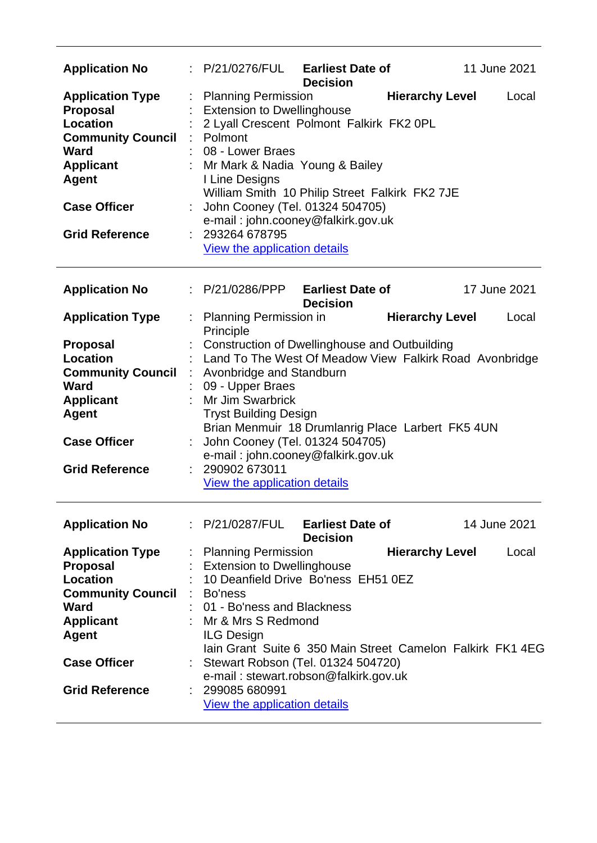| <b>Application No</b>                                                                                                                                                                                  |                                                                                                                                                                            | : P/21/0276/FUL Earliest Date of<br><b>Decision</b>                                                                                                                                                       | 11 June 2021                                                                                  |
|--------------------------------------------------------------------------------------------------------------------------------------------------------------------------------------------------------|----------------------------------------------------------------------------------------------------------------------------------------------------------------------------|-----------------------------------------------------------------------------------------------------------------------------------------------------------------------------------------------------------|-----------------------------------------------------------------------------------------------|
| <b>Application Type</b><br><b>Proposal</b><br><b>Location</b><br><b>Community Council : Polmont</b><br><b>Ward</b><br><b>Applicant</b><br><b>Agent</b><br><b>Case Officer</b><br><b>Grid Reference</b> | <b>Planning Permission</b><br><b>Extension to Dwellinghouse</b><br>08 - Lower Braes<br>I Line Designs<br>: 293264 678795<br>View the application details                   | 2 Lyall Crescent Polmont Falkirk FK2 0PL<br>: Mr Mark & Nadia Young & Bailey<br>William Smith 10 Philip Street Falkirk FK2 7JE<br>: John Cooney (Tel. 01324 504705)<br>e-mail: john.cooney@falkirk.gov.uk | <b>Hierarchy Level</b><br>Local                                                               |
| <b>Application No</b>                                                                                                                                                                                  | : P/21/0286/PPP                                                                                                                                                            | <b>Earliest Date of</b><br><b>Decision</b>                                                                                                                                                                | 17 June 2021                                                                                  |
| <b>Application Type</b>                                                                                                                                                                                | : Planning Permission in                                                                                                                                                   |                                                                                                                                                                                                           | <b>Hierarchy Level</b><br>Local                                                               |
| <b>Proposal</b><br>Location<br><b>Community Council</b> : Avonbridge and Standburn<br><b>Ward</b><br><b>Applicant</b><br><b>Agent</b><br><b>Case Officer</b>                                           | Principle<br>09 - Upper Braes<br>Mr Jim Swarbrick<br><b>Tryst Building Design</b>                                                                                          | <b>Construction of Dwellinghouse and Outbuilding</b><br>Brian Menmuir 18 Drumlanrig Place Larbert FK5 4UN<br>John Cooney (Tel. 01324 504705)                                                              | Land To The West Of Meadow View Falkirk Road Avonbridge                                       |
| <b>Grid Reference</b>                                                                                                                                                                                  | : 290902673011<br>View the application details                                                                                                                             | e-mail: john.cooney@falkirk.gov.uk                                                                                                                                                                        |                                                                                               |
| <b>Application No</b>                                                                                                                                                                                  |                                                                                                                                                                            | $\therefore$ P/21/0287/FUL Earliest Date of<br><b>Decision</b>                                                                                                                                            | 14 June 2021                                                                                  |
| <b>Application Type</b><br><b>Proposal</b><br><b>Location</b><br><b>Community Council</b><br>Ward<br><b>Applicant</b><br><b>Agent</b><br><b>Case Officer</b><br><b>Grid Reference</b>                  | <b>Planning Permission</b><br><b>Extension to Dwellinghouse</b><br>: Bo'ness<br>: 01 - Bo'ness and Blackness<br>Mr & Mrs S Redmond<br><b>ILG Design</b><br>: 299085 680991 | 10 Deanfield Drive Bo'ness EH51 0EZ<br>: Stewart Robson (Tel. 01324 504720)<br>e-mail: stewart.robson@falkirk.gov.uk                                                                                      | <b>Hierarchy Level</b><br>Local<br>Jain Grant Suite 6 350 Main Street Camelon Falkirk FK1 4EG |
|                                                                                                                                                                                                        | View the application details                                                                                                                                               |                                                                                                                                                                                                           |                                                                                               |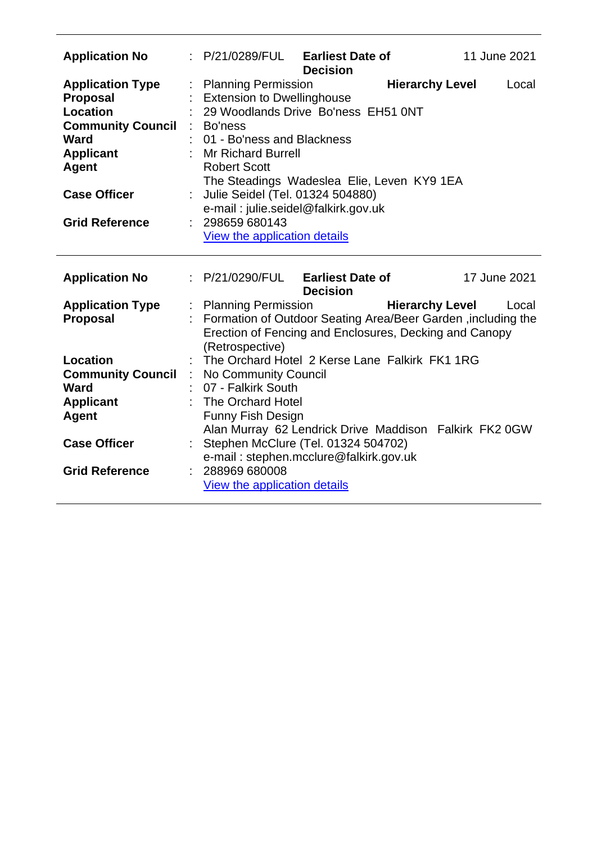| <b>Application No</b>                                                                                                                                        |    | : P/21/0289/FUL                                                                                                                                                                                                                                                                                                              | <b>Earliest Date of</b><br><b>Decision</b> |                        | 11 June 2021 |
|--------------------------------------------------------------------------------------------------------------------------------------------------------------|----|------------------------------------------------------------------------------------------------------------------------------------------------------------------------------------------------------------------------------------------------------------------------------------------------------------------------------|--------------------------------------------|------------------------|--------------|
| <b>Application Type</b><br><b>Proposal</b><br><b>Location</b><br><b>Community Council</b><br><b>Ward</b><br><b>Applicant</b><br>Agent<br><b>Case Officer</b> |    | <b>Planning Permission</b><br><b>Extension to Dwellinghouse</b><br>29 Woodlands Drive Bo'ness EH51 0NT<br>Bo'ness<br>01 - Bo'ness and Blackness<br><b>Mr Richard Burrell</b><br><b>Robert Scott</b><br>The Steadings Wadeslea Elie, Leven KY9 1EA<br>Julie Seidel (Tel. 01324 504880)<br>e-mail: julie.seidel@falkirk.gov.uk |                                            | <b>Hierarchy Level</b> | Local        |
| <b>Grid Reference</b>                                                                                                                                        |    | 298659 680143<br>View the application details                                                                                                                                                                                                                                                                                |                                            |                        |              |
| <b>Application No</b>                                                                                                                                        |    | : P/21/0290/FUL Earliest Date of                                                                                                                                                                                                                                                                                             | <b>Decision</b>                            |                        | 17 June 2021 |
| <b>Application Type</b><br><b>Proposal</b>                                                                                                                   |    | <b>Planning Permission</b><br>Formation of Outdoor Seating Area/Beer Garden, including the<br>Erection of Fencing and Enclosures, Decking and Canopy<br>(Retrospective)                                                                                                                                                      |                                            | <b>Hierarchy Level</b> | Local        |
| Location                                                                                                                                                     |    | The Orchard Hotel 2 Kerse Lane Falkirk FK1 1RG                                                                                                                                                                                                                                                                               |                                            |                        |              |
| <b>Community Council</b>                                                                                                                                     | ÷. | No Community Council                                                                                                                                                                                                                                                                                                         |                                            |                        |              |
| <b>Ward</b>                                                                                                                                                  |    | 07 - Falkirk South                                                                                                                                                                                                                                                                                                           |                                            |                        |              |
| <b>Applicant</b>                                                                                                                                             |    | The Orchard Hotel                                                                                                                                                                                                                                                                                                            |                                            |                        |              |
| <b>Agent</b>                                                                                                                                                 |    | Funny Fish Design<br>Alan Murray 62 Lendrick Drive Maddison Falkirk FK2 0GW                                                                                                                                                                                                                                                  |                                            |                        |              |
| <b>Case Officer</b>                                                                                                                                          |    | Stephen McClure (Tel. 01324 504702)<br>e-mail: stephen.mcclure@falkirk.gov.uk                                                                                                                                                                                                                                                |                                            |                        |              |
| <b>Grid Reference</b>                                                                                                                                        |    | 288969 680008<br>View the application details                                                                                                                                                                                                                                                                                |                                            |                        |              |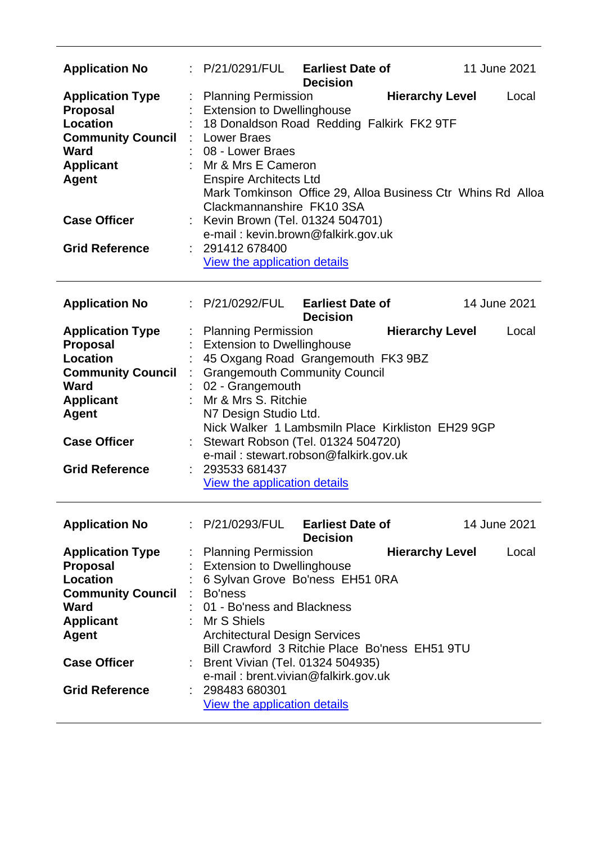| <b>Application No</b>                                                                                                                                                                        | : P/21/0291/FUL                                                                                                                                                                                                                                              | <b>Earliest Date of</b><br><b>Decision</b>                                                                                                                                                                       | 11 June 2021                    |
|----------------------------------------------------------------------------------------------------------------------------------------------------------------------------------------------|--------------------------------------------------------------------------------------------------------------------------------------------------------------------------------------------------------------------------------------------------------------|------------------------------------------------------------------------------------------------------------------------------------------------------------------------------------------------------------------|---------------------------------|
| <b>Application Type</b><br>Proposal<br><b>Location</b><br><b>Community Council</b><br><b>Ward</b><br><b>Applicant</b><br><b>Agent</b><br><b>Case Officer</b>                                 | <b>Planning Permission</b><br><b>Extension to Dwellinghouse</b><br>: Lower Braes<br>08 - Lower Braes<br>: Mr & Mrs E Cameron<br><b>Enspire Architects Ltd</b><br>Clackmannanshire FK10 3SA<br>: Kevin Brown (Tel. 01324 504701)                              | 18 Donaldson Road Redding Falkirk FK2 9TF<br>Mark Tomkinson Office 29, Alloa Business Ctr Whins Rd Alloa                                                                                                         | <b>Hierarchy Level</b><br>Local |
| <b>Grid Reference</b>                                                                                                                                                                        | : 291412 678400<br>View the application details                                                                                                                                                                                                              | e-mail: kevin.brown@falkirk.gov.uk                                                                                                                                                                               |                                 |
| <b>Application No</b>                                                                                                                                                                        | : P/21/0292/FUL                                                                                                                                                                                                                                              | <b>Earliest Date of</b><br><b>Decision</b>                                                                                                                                                                       | 14 June 2021                    |
| <b>Application Type</b><br><b>Proposal</b><br><b>Location</b><br><b>Community Council</b><br><b>Ward</b><br><b>Applicant</b><br><b>Agent</b><br><b>Case Officer</b><br><b>Grid Reference</b> | <b>Planning Permission</b><br><b>Extension to Dwellinghouse</b><br>02 - Grangemouth<br>Mr & Mrs S. Ritchie<br>N7 Design Studio Ltd.<br>293533 681437<br>View the application details                                                                         | 45 Oxgang Road Grangemouth FK3 9BZ<br><b>Grangemouth Community Council</b><br>Nick Walker 1 Lambsmiln Place Kirkliston EH29 9GP<br>: Stewart Robson (Tel. 01324 504720)<br>e-mail: stewart.robson@falkirk.gov.uk | <b>Hierarchy Level</b><br>Local |
| <b>Application No</b>                                                                                                                                                                        |                                                                                                                                                                                                                                                              | : P/21/0293/FUL Earliest Date of<br><b>Decision</b>                                                                                                                                                              | 14 June 2021                    |
| <b>Application Type</b><br><b>Proposal</b><br>Location<br><b>Community Council</b><br><b>Ward</b><br><b>Applicant</b><br><b>Agent</b><br><b>Case Officer</b><br><b>Grid Reference</b>        | <b>Planning Permission</b><br><b>Extension to Dwellinghouse</b><br>: Bo'ness<br>01 - Bo'ness and Blackness<br>: Mr S Shiels<br><b>Architectural Design Services</b><br>: Brent Vivian (Tel. 01324 504935)<br>: 298483 680301<br>View the application details | 6 Sylvan Grove Bo'ness EH51 0RA<br>Bill Crawford 3 Ritchie Place Bo'ness EH51 9TU<br>e-mail: brent.vivian@falkirk.gov.uk                                                                                         | <b>Hierarchy Level</b><br>Local |